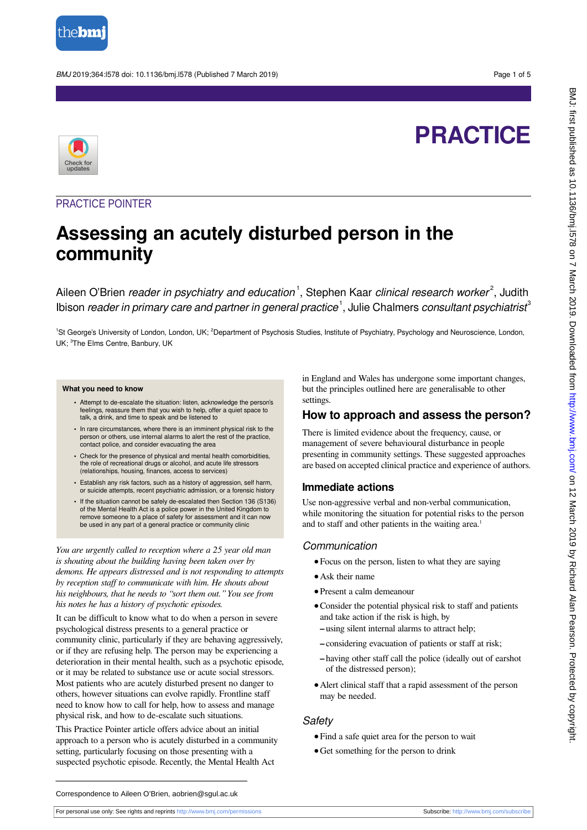

#### BMJ 2019;364:l578 doi: 10.1136/bmj.l578 (Published 7 March 2019) Page 1 of 5

# **PRACTICE**



## PRACTICE POINTER

## **Assessing an acutely disturbed person in the community**

Aileen O'Brien reader in psychiatry and education<sup>1</sup>, Stephen Kaar clinical research worker<sup>2</sup>, Judith Ibison reader in primary care and partner in general practice<sup>1</sup>, Julie Chalmers consultant psychiatrist<sup>3</sup>

<sup>1</sup>St George's University of London, London, UK; <sup>2</sup>Department of Psychosis Studies, Institute of Psychiatry, Psychology and Neuroscience, London, UK; <sup>3</sup>The Elms Centre, Banbury, UK

#### **What you need to know**

- **•** Attempt to de-escalate the situation: listen, acknowledge the person's feelings, reassure them that you wish to help, offer a quiet space to talk, a drink, and time to speak and be listened to
- **•** In rare circumstances, where there is an imminent physical risk to the person or others, use internal alarms to alert the rest of the practice, contact police, and consider evacuating the area
- **•** Check for the presence of physical and mental health comorbidities, the role of recreational drugs or alcohol, and acute life stressors (relationships, housing, finances, access to services)
- **•** Establish any risk factors, such as a history of aggression, self harm, or suicide attempts, recent psychiatric admission, or a forensic history
- **•** If the situation cannot be safely de-escalated then Section 136 (S136) of the Mental Health Act is a police power in the United Kingdom to remove someone to a place of safety for assessment and it can now be used in any part of a general practice or community clinic

*You are urgently called to reception where a 25 year old man is shouting about the building having been taken over by demons. He appears distressed and is not responding to attempts by reception staff to communicate with him. He shouts about his neighbours, that he needs to "sort them out." You see from his notes he has a history of psychotic episodes.*

It can be difficult to know what to do when a person in severe psychological distress presents to a general practice or community clinic, particularly if they are behaving aggressively, or if they are refusing help. The person may be experiencing a deterioration in their mental health, such as a psychotic episode, or it may be related to substance use or acute social stressors. Most patients who are acutely disturbed present no danger to others, however situations can evolve rapidly. Frontline staff need to know how to call for help, how to assess and manage physical risk, and how to de-escalate such situations.

This Practice Pointer article offers advice about an initial approach to a person who is acutely disturbed in a community setting, particularly focusing on those presenting with a suspected psychotic episode. Recently, the Mental Health Act

in England and Wales has undergone some important changes, but the principles outlined here are generalisable to other settings.

## **How to approach and assess the person?**

There is limited evidence about the frequency, cause, or management of severe behavioural disturbance in people presenting in community settings. These suggested approaches are based on accepted clinical practice and experience of authors.

#### **Immediate actions**

Use non-aggressive verbal and non-verbal communication, while monitoring the situation for potential risks to the person and to staff and other patients in the waiting area.<sup>1</sup>

## **Communication**

- **•**Focus on the person, listen to what they are saying
- **•**Ask their name
- **•**Present a calm demeanour
- **•**Consider the potential physical risk to staff and patients and take action if the risk is high, by
- **–** using silent internal alarms to attract help;
- **–** considering evacuation of patients or staff at risk;
- **–** having other staff call the police (ideally out of earshot of the distressed person);
- **•**Alert clinical staff that a rapid assessment of the person may be needed.

#### **Safetv**

- **•**Find a safe quiet area for the person to wait
- **•**Get something for the person to drink

Correspondence to Aileen O'Brien, aobrien@sgul.ac.uk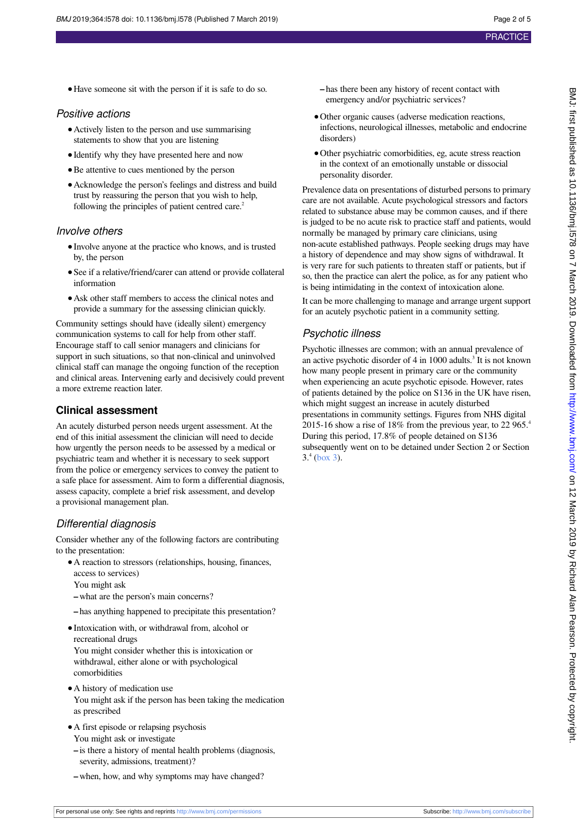- 
- **•**Have someone sit with the person if it is safe to do so.

## Positive actions

- **•**Actively listen to the person and use summarising statements to show that you are listening
- **•**Identify why they have presented here and now
- **•**Be attentive to cues mentioned by the person
- **•**Acknowledge the person's feelings and distress and build trust by reassuring the person that you wish to help, following the principles of patient centred care.<sup>2</sup>

## Involve others

- **•**Involve anyone at the practice who knows, and is trusted by, the person
- **•**See if a relative/friend/carer can attend or provide collateral information
- **•**Ask other staff members to access the clinical notes and provide a summary for the assessing clinician quickly.

Community settings should have (ideally silent) emergency communication systems to call for help from other staff. Encourage staff to call senior managers and clinicians for support in such situations, so that non-clinical and uninvolved clinical staff can manage the ongoing function of the reception and clinical areas. Intervening early and decisively could prevent a more extreme reaction later.

## **Clinical assessment**

An acutely disturbed person needs urgent assessment. At the end of this initial assessment the clinician will need to decide how urgently the person needs to be assessed by a medical or psychiatric team and whether it is necessary to seek support from the police or emergency services to convey the patient to a safe place for assessment. Aim to form a differential diagnosis, assess capacity, complete a brief risk assessment, and develop a provisional management plan.

## Differential diagnosis

Consider whether any of the following factors are contributing to the presentation:

- **•**A reaction to stressors (relationships, housing, finances, access to services)
- You might ask
- **–** what are the person's main concerns?
- **–** has anything happened to precipitate this presentation?
- **•**Intoxication with, or withdrawal from, alcohol or recreational drugs

You might consider whether this is intoxication or withdrawal, either alone or with psychological comorbidities

- **•**A history of medication use You might ask if the person has been taking the medication as prescribed
- **•**A first episode or relapsing psychosis
- You might ask or investigate
- **–** is there a history of mental health problems (diagnosis, severity, admissions, treatment)?
- **–** when, how, and why symptoms may have changed?
- **–** has there been any history of recent contact with emergency and/or psychiatric services?
- **•**Other organic causes (adverse medication reactions, infections, neurological illnesses, metabolic and endocrine disorders)
- **•**Other psychiatric comorbidities, eg, acute stress reaction in the context of an emotionally unstable or dissocial personality disorder.

Prevalence data on presentations of disturbed persons to primary care are not available. Acute psychological stressors and factors related to substance abuse may be common causes, and if there is judged to be no acute risk to practice staff and patients, would normally be managed by primary care clinicians, using non-acute established pathways. People seeking drugs may have a history of dependence and may show signs of withdrawal. It is very rare for such patients to threaten staff or patients, but if so, then the practice can alert the police, as for any patient who is being intimidating in the context of intoxication alone.

It can be more challenging to manage and arrange urgent support for an acutely psychotic patient in a community setting.

## Psychotic illness

Psychotic illnesses are common; with an annual prevalence of an active psychotic disorder of  $4$  in 1000 adults.<sup>3</sup> It is not known how many people present in primary care or the community when experiencing an acute psychotic episode. However, rates of patients detained by the police on S136 in the UK have risen, which might suggest an increase in acutely disturbed presentations in community settings. Figures from NHS digital 2015-16 show a rise of 18% from the previous year, to 22  $965$ .<sup>4</sup> During this period, 17.8% of people detained on S136 subsequently went on to be detained under Section 2 or Section  $3^{4}$  ([box 3](#page-2-0)).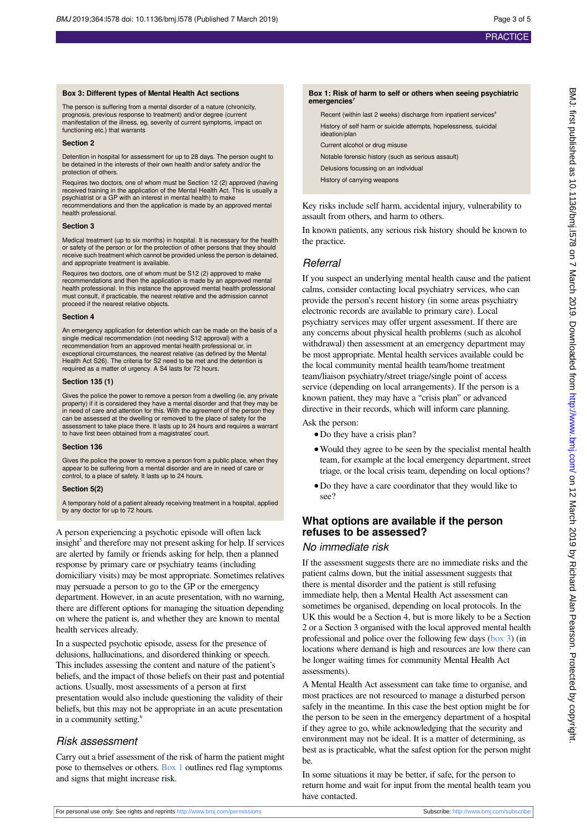#### <span id="page-2-0"></span>**Box 3: Different types of Mental Health Act sections**

The person is suffering from a mental disorder of a nature (chronicity, prognosis, previous response to treatment) and/or degree (current manifestation of the illness, eg, severity of current symptoms, impact on functioning etc.) that warrants

#### **Section 2**

Detention in hospital for assessment for up to 28 days. The person ought to be detained in the interests of their own health and/or safety and/or the protection of others.

Requires two doctors, one of whom must be Section 12 (2) approved (having received training in the application of the Mental Health Act. This is usually a psychiatrist or a GP with an interest in mental health) to make recommendations and then the application is made by an approved mental health professional.

#### **Section 3**

Medical treatment (up to six months) in hospital. It is necessary for the health or safety of the person or for the protection of other persons that they should receive such treatment which cannot be provided unless the person is detained, and appropriate treatment is available.

Requires two doctors, one of whom must be S12 (2) approved to make recommendations and then the application is made by an approved mental health professional. In this instance the approved mental health professional must consult, if practicable, the nearest relative and the admission cannot proceed if the nearest relative objects.

#### **Section 4**

An emergency application for detention which can be made on the basis of a single medical recommendation (not needing S12 approval) with a recommendation from an approved mental health professional or, in exceptional circumstances, the nearest relative (as defined by the Mental Health Act S26). The criteria for S2 need to be met and the detention is required as a matter of urgency. A S4 lasts for 72 hours.

#### **Section 135 (1)**

Gives the police the power to remove a person from a dwelling (ie, any private property) if it is considered they have a mental disorder and that they may be in need of care and attention for this. With the agreement of the person they can be assessed at the dwelling or removed to the place of safety for the assessment to take place there. It lasts up to 24 hours and requires a warrant to have first been obtained from a magistrates' court.

#### **Section 136**

Gives the police the power to remove a person from a public place, when they appear to be suffering from a mental disorder and are in need of care or control, to a place of safety. It lasts up to 24 hours.

#### **Section 5(2)**

A temporary hold of a patient already receiving treatment in a hospital, applied by any doctor for up to 72 hours.

A person experiencing a psychotic episode will often lack insight<sup>5</sup> and therefore may not present asking for help. If services are alerted by family or friends asking for help, then a planned response by primary care or psychiatry teams (including domiciliary visits) may be most appropriate. Sometimes relatives may persuade a person to go to the GP or the emergency department. However, in an acute presentation, with no warning, there are different options for managing the situation depending on where the patient is, and whether they are known to mental health services already.

In a suspected psychotic episode, assess for the presence of delusions, hallucinations, and disordered thinking or speech. This includes assessing the content and nature of the patient's beliefs, and the impact of those beliefs on their past and potential actions. Usually, most assessments of a person at first presentation would also include questioning the validity of their beliefs, but this may not be appropriate in an acute presentation in a community setting. $6$ 

## Risk assessment

Carry out a brief assessment of the risk of harm the patient might pose to themselves or others. [Box 1](#page-2-1) outlines red flag symptoms and signs that might increase risk.

#### <span id="page-2-1"></span>**Box 1: Risk of harm to self or others when seeing psychiatric emergencies<sup>7</sup>**

Recent (within last 2 weeks) discharge from inpatient services<sup>8</sup> History of self harm or suicide attempts, hopelessness, suicidal ideation/plan Current alcohol or drug misuse

Notable forensic history (such as serious assault) Delusions focussing on an individual

History of carrying weapons

Key risks include self harm, accidental injury, vulnerability to assault from others, and harm to others.

In known patients, any serious risk history should be known to the practice.

## **Referral**

If you suspect an underlying mental health cause and the patient calms, consider contacting local psychiatry services, who can provide the person's recent history (in some areas psychiatry electronic records are available to primary care). Local psychiatry services may offer urgent assessment. If there are any concerns about physical health problems (such as alcohol withdrawal) then assessment at an emergency department may be most appropriate. Mental health services available could be the local community mental health team/home treatment team/liaison psychiatry/street triage/single point of access service (depending on local arrangements). If the person is a known patient, they may have a "crisis plan" or advanced directive in their records, which will inform care planning.

Ask the person:

- **•**Do they have a crisis plan?
- **•**Would they agree to be seen by the specialist mental health team, for example at the local emergency department, street triage, or the local crisis team, depending on local options?
- **•**Do they have a care coordinator that they would like to see?

## **What options are available if the person refuses to be assessed?**

#### No immediate risk

If the assessment suggests there are no immediate risks and the patient calms down, but the initial assessment suggests that there is mental disorder and the patient is still refusing immediate help, then a Mental Health Act assessment can sometimes be organised, depending on local protocols. In the UK this would be a Section 4, but is more likely to be a Section 2 or a Section 3 organised with the local approved mental health professional and police over the following few days  $(box 3)$  $(box 3)$  $(box 3)$  (in locations where demand is high and resources are low there can be longer waiting times for community Mental Health Act assessments).

A Mental Health Act assessment can take time to organise, and most practices are not resourced to manage a disturbed person safely in the meantime. In this case the best option might be for the person to be seen in the emergency department of a hospital if they agree to go, while acknowledging that the security and environment may not be ideal. It is a matter of determining, as best as is practicable, what the safest option for the person might be.

In some situations it may be better, if safe, for the person to return home and wait for input from the mental health team you have contacted.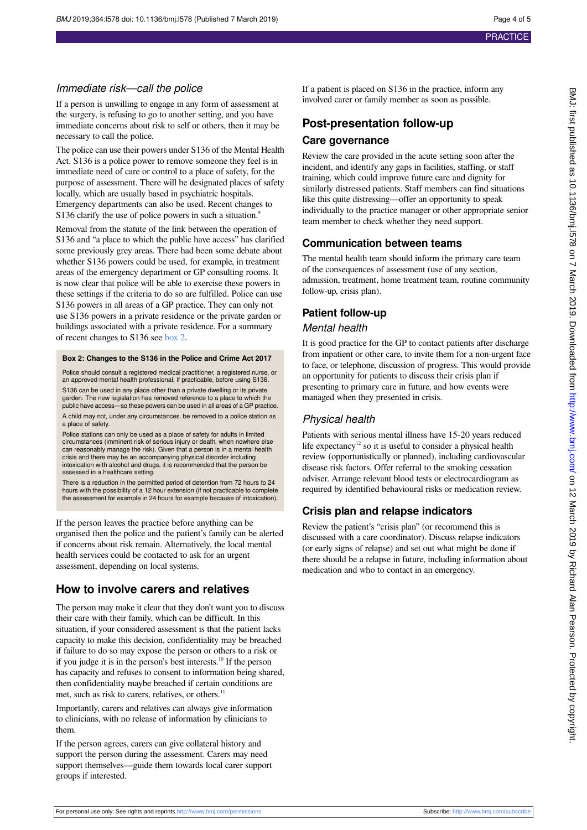## Immediate risk—call the police

If a person is unwilling to engage in any form of assessment at the surgery, is refusing to go to another setting, and you have immediate concerns about risk to self or others, then it may be necessary to call the police.

The police can use their powers under S136 of the Mental Health Act. S136 is a police power to remove someone they feel is in immediate need of care or control to a place of safety, for the purpose of assessment. There will be designated places of safety locally, which are usually based in psychiatric hospitals. Emergency departments can also be used. Recent changes to S136 clarify the use of police powers in such a situation.<sup>9</sup>

Removal from the statute of the link between the operation of S136 and "a place to which the public have access" has clarified some previously grey areas. There had been some debate about whether S136 powers could be used, for example, in treatment areas of the emergency department or GP consulting rooms. It is now clear that police will be able to exercise these powers in these settings if the criteria to do so are fulfilled. Police can use S136 powers in all areas of a GP practice. They can only not use S136 powers in a private residence or the private garden or buildings associated with a private residence. For a summary of recent changes to S136 see [box 2.](#page-3-0)

#### <span id="page-3-0"></span>**Box 2: Changes to the S136 in the Police and Crime Act 2017**

Police should consult a registered medical practitioner, a registered nurse, or an approved mental health professional, if practicable, before using S136. S136 can be used in any place other than a private dwelling or its private garden. The new legislation has removed reference to a place to which the public have access—so these powers can be used in all areas of a GP practice. A child may not, under any circumstances, be removed to a police station as a place of safety.

Police stations can only be used as a place of safety for adults in limited circumstances (imminent risk of serious injury or death, when nowhere else can reasonably manage the risk). Given that a person is in a mental health crisis and there may be an accompanying physical disorder including intoxication with alcohol and drugs, it is recommended that the person be assessed in a healthcare setting.

There is a reduction in the permitted period of detention from 72 hours to 24 hours with the possibility of a 12 hour extension (if not practicable to complete the assessment for example in 24 hours for example because of intoxication).

If the person leaves the practice before anything can be organised then the police and the patient's family can be alerted if concerns about risk remain. Alternatively, the local mental health services could be contacted to ask for an urgent assessment, depending on local systems.

## **How to involve carers and relatives**

The person may make it clear that they don't want you to discuss their care with their family, which can be difficult. In this situation, if your considered assessment is that the patient lacks capacity to make this decision, confidentiality may be breached if failure to do so may expose the person or others to a risk or if you judge it is in the person's best interests. $^{10}$  If the person has capacity and refuses to consent to information being shared, then confidentiality maybe breached if certain conditions are met, such as risk to carers, relatives, or others.<sup>11</sup>

Importantly, carers and relatives can always give information to clinicians, with no release of information by clinicians to them.

If the person agrees, carers can give collateral history and support the person during the assessment. Carers may need support themselves—guide them towards local carer support groups if interested.

If a patient is placed on S136 in the practice, inform any involved carer or family member as soon as possible.

## **Post-presentation follow-up Care governance**

Review the care provided in the acute setting soon after the incident, and identify any gaps in facilities, staffing, or staff training, which could improve future care and dignity for similarly distressed patients. Staff members can find situations like this quite distressing—offer an opportunity to speak individually to the practice manager or other appropriate senior team member to check whether they need support.

## **Communication between teams**

The mental health team should inform the primary care team of the consequences of assessment (use of any section, admission, treatment, home treatment team, routine community follow-up, crisis plan).

## **Patient follow-up**

#### Mental health

It is good practice for the GP to contact patients after discharge from inpatient or other care, to invite them for a non-urgent face to face, or telephone, discussion of progress. This would provide an opportunity for patients to discuss their crisis plan if presenting to primary care in future, and how events were managed when they presented in crisis.

## Physical health

Patients with serious mental illness have 15-20 years reduced life expectancy<sup>12</sup> so it is useful to consider a physical health review (opportunistically or planned), including cardiovascular disease risk factors. Offer referral to the smoking cessation adviser. Arrange relevant blood tests or electrocardiogram as required by identified behavioural risks or medication review.

## **Crisis plan and relapse indicators**

Review the patient's "crisis plan" (or recommend this is discussed with a care coordinator). Discuss relapse indicators (or early signs of relapse) and set out what might be done if there should be a relapse in future, including information about medication and who to contact in an emergency.